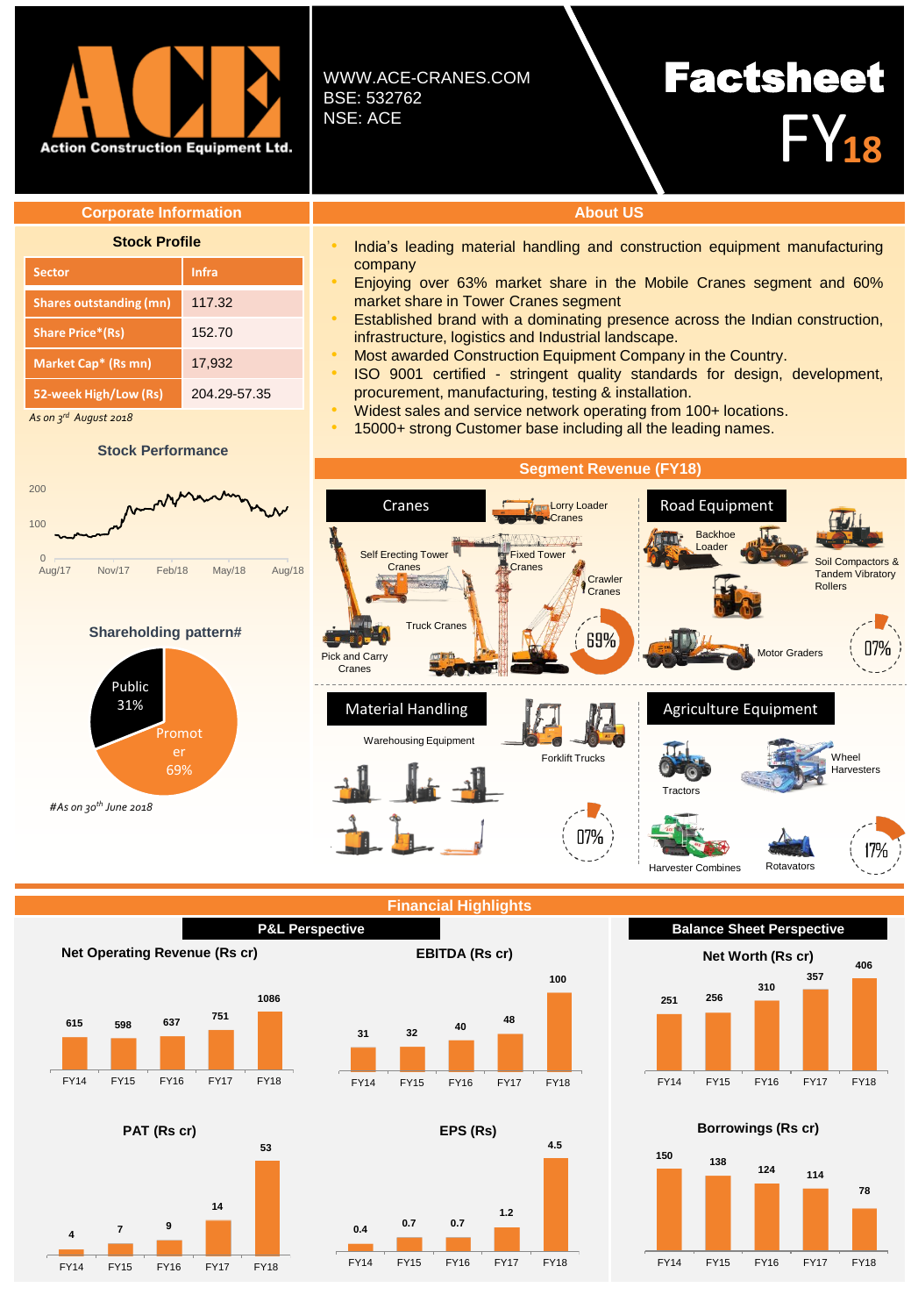

WWW.ACE-CRANES.COM BSE: 532762 NSE: ACE

company

# Factsheet FY**<sup>18</sup>**

### **Corporate Information About US**

| <b>Stock Profile</b>           |              |
|--------------------------------|--------------|
| <b>Sector</b>                  | Infra        |
| <b>Shares outstanding (mn)</b> | 117.32       |
| <b>Share Price*(Rs)</b>        | 152.70       |
| Market Cap* (Rs mn)            | 17,932       |
| 52-week High/Low (Rs)          | 204 29 57 35 |
| As on $3^{rd}$ August 2018     |              |

 *August 2018*

### **Stock Performance**



market share in Tower Cranes segment

infrastructure, logistics and Industrial landscape.

procurement, manufacturing, testing & installation.



# **Net Worth (Rs cr)**

Rotavators

17%







**53**



**PAT (Rs cr)**







India's leading material handling and construction equipment manufacturing

• Enjoying over 63% market share in the Mobile Cranes segment and 60%

• Established brand with a dominating presence across the Indian construction,

• ISO 9001 certified - stringent quality standards for design, development,

• Most awarded Construction Equipment Company in the Country.

• Widest sales and service network operating from 100+ locations. • 15000+ strong Customer base including all the leading names.

**Balance Sheet Perspective**

Harvester Combines